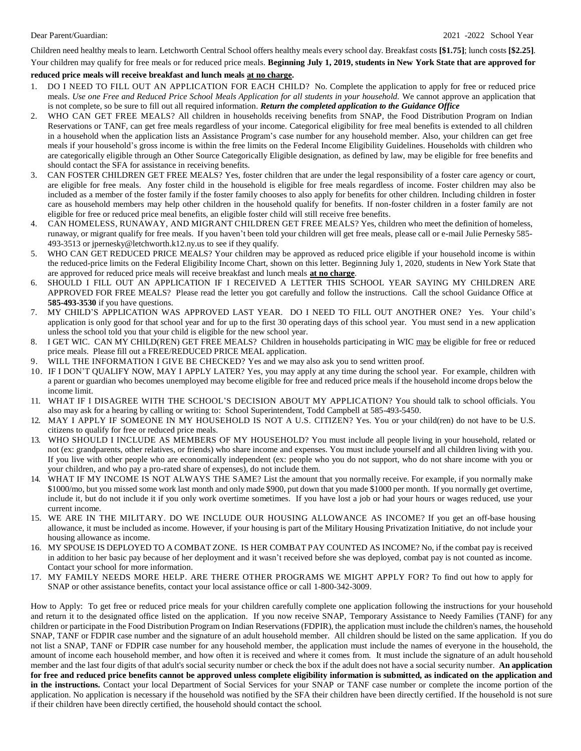Children need healthy meals to learn. Letchworth Central School offers healthy meals every school day. Breakfast costs **[\$1.75]**; lunch costs **[\$2.25]**.

Your children may qualify for free meals or for reduced price meals. **Beginning July 1, 2019, students in New York State that are approved for reduced price meals will receive breakfast and lunch meals at no charge.**

- 1. DO I NEED TO FILL OUT AN APPLICATION FOR EACH CHILD? No. Complete the application to apply for free or reduced price meals. Use one Free and Reduced Price School Meals Application for all students in your household. We cannot approve an application that is not complete, so be sure to fill out all required information. *Return the completed application to the Guidance Office*
- 2. WHO CAN GET FREE MEALS? All children in households receiving benefits from SNAP, the Food Distribution Program on Indian Reservations or TANF, can get free meals regardless of your income. Categorical eligibility for free meal benefits is extended to all children in a household when the application lists an Assistance Program's case number for any household member. Also, your children can get free meals if your household's gross income is within the free limits on the Federal Income Eligibility Guidelines. Households with children who are categorically eligible through an Other Source Categorically Eligible designation, as defined by law, may be eligible for free benefits and should contact the SFA for assistance in receiving benefits.
- 3. CAN FOSTER CHILDREN GET FREE MEALS? Yes, foster children that are under the legal responsibility of a foster care agency or court, are eligible for free meals. Any foster child in the household is eligible for free meals regardless of income. Foster children may also be included as a member of the foster family if the foster family chooses to also apply for benefits for other children. Including children in foster care as household members may help other children in the household qualify for benefits. If non-foster children in a foster family are not eligible for free or reduced price meal benefits, an eligible foster child will still receive free benefits.
- 4. CAN HOMELESS, RUNAWAY, AND MIGRANT CHILDREN GET FREE MEALS? Yes, children who meet the definition of homeless, runaway, or migrant qualify for free meals. If you haven't been told your children will get free meals, please call or e-mail Julie Pernesky 585- 493-3513 or [jpernesky@letchworth.k12.ny.us](mailto:jpernesky@letchworth.k12.ny.us) to see if they qualify.
- 5. WHO CAN GET REDUCED PRICE MEALS? Your children may be approved as reduced price eligible if your household income is within the reduced-price limits on the Federal Eligibility Income Chart, shown on this letter. Beginning July 1, 2020, students in New York State that are approved for reduced price meals will receive breakfast and lunch meals **at no charge**.
- 6. SHOULD I FILL OUT AN APPLICATION IF I RECEIVED A LETTER THIS SCHOOL YEAR SAYING MY CHILDREN ARE APPROVED FOR FREE MEALS? Please read the letter you got carefully and follow the instructions. Call the school Guidance Office at **585-493-3530** if you have questions.
- 7. MY CHILD'S APPLICATION WAS APPROVED LAST YEAR. DO I NEED TO FILL OUT ANOTHER ONE? Yes. Your child's application is only good for that school year and for up to the first 30 operating days of this school year. You must send in a new application unless the school told you that your child is eligible for the new school year.
- 8. I GET WIC. CAN MY CHILD(REN) GET FREE MEALS? Children in households participating in WIC may be eligible for free or reduced price meals. Please fill out a FREE/REDUCED PRICE MEAL application.
- 9. WILL THE INFORMATION I GIVE BE CHECKED? Yes and we may also ask you to send written proof.
- 10. IF I DON'T QUALIFY NOW, MAY I APPLY LATER? Yes, you may apply at any time during the school year. For example, children with a parent or guardian who becomes unemployed may become eligible for free and reduced price meals if the household income drops below the income limit.
- 11. WHAT IF I DISAGREE WITH THE SCHOOL'S DECISION ABOUT MY APPLICATION? You should talk to school officials. You also may ask for a hearing by calling or writing to: School Superintendent, Todd Campbell at 585-493-5450.
- 12. MAY I APPLY IF SOMEONE IN MY HOUSEHOLD IS NOT A U.S. CITIZEN? Yes. You or your child(ren) do not have to be U.S. citizens to qualify for free or reduced price meals.
- 13. WHO SHOULD I INCLUDE AS MEMBERS OF MY HOUSEHOLD? You must include all people living in your household, related or not (ex: grandparents, other relatives, or friends) who share income and expenses. You must include yourself and all children living with you. If you live with other people who are economically independent (ex: people who you do not support, who do not share income with you or your children, and who pay a pro-rated share of expenses), do not include them.
- 14. WHAT IF MY INCOME IS NOT ALWAYS THE SAME? List the amount that you normally receive. For example, if you normally make \$1000/mo, but you missed some work last month and only made \$900, put down that you made \$1000 per month. If you normally get overtime, include it, but do not include it if you only work overtime sometimes. If you have lost a job or had your hours or wages reduced, use your current income.
- 15. WE ARE IN THE MILITARY. DO WE INCLUDE OUR HOUSING ALLOWANCE AS INCOME? If you get an off-base housing allowance, it must be included as income. However, if your housing is part of the Military Housing Privatization Initiative, do not include your housing allowance as income.
- 16. MY SPOUSE IS DEPLOYED TO A COMBAT ZONE. IS HER COMBAT PAY COUNTED AS INCOME? No, if the combat pay is received in addition to her basic pay because of her deployment and it wasn't received before she was deployed, combat pay is not counted as income. Contact your school for more information.
- 17. MY FAMILY NEEDS MORE HELP. ARE THERE OTHER PROGRAMS WE MIGHT APPLY FOR? To find out how to apply for SNAP or other assistance benefits, contact your local assistance office or call 1-800-342-3009.

How to Apply: To get free or reduced price meals for your children carefully complete one application following the instructions for your household and return it to the designated office listed on the application. If you now receive SNAP, Temporary Assistance to Needy Families (TANF) for any children or participate in the Food Distribution Program on Indian Reservations (FDPIR), the application must include the children's names, the household SNAP, TANF or FDPIR case number and the signature of an adult household member. All children should be listed on the same application. If you do not list a SNAP, TANF or FDPIR case number for any household member, the application must include the names of everyone in the household, the amount of income each household member, and how often it is received and where it comes from. It must include the signature of an adult household member and the last four digits of that adult's social security number or check the box if the adult does not have a social security number. **An application** for free and reduced price benefits cannot be approved unless complete eligibility information is submitted, as indicated on the application and **in the instructions.** Contact your local Department of Social Services for your SNAP or TANF case number or complete the income portion of the application. No application is necessary if the household was notified by the SFA their children have been directly certified. If the household is not sure if their children have been directly certified, the household should contact the school.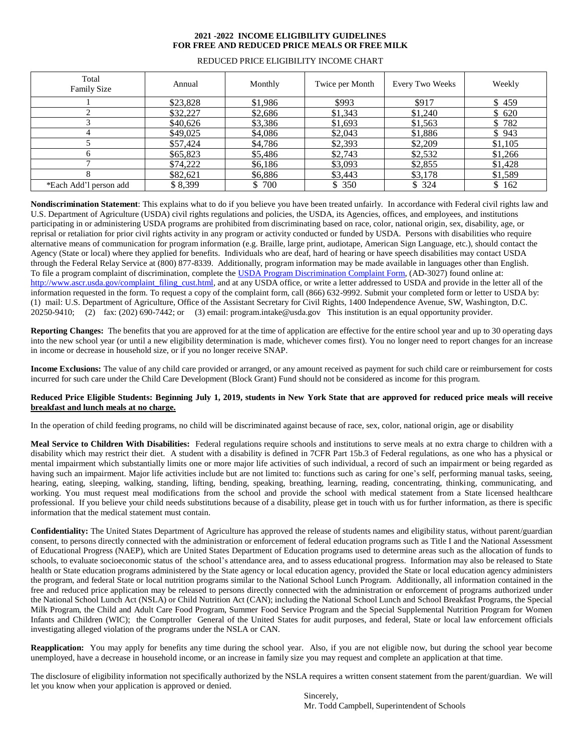## **2021 -2022 INCOME ELIGIBILITY GUIDELINES FOR FREE AND REDUCED PRICE MEALS OR FREE MILK**

| Total<br>Family Size   | Annual   | Monthly | Twice per Month | Every Two Weeks | Weekly  |
|------------------------|----------|---------|-----------------|-----------------|---------|
|                        | \$23,828 | \$1,986 | \$993           | \$917           | \$459   |
|                        | \$32,227 | \$2,686 | \$1,343         | \$1,240         | \$620   |
|                        | \$40,626 | \$3,386 | \$1,693         | \$1,563         | \$782   |
| 4                      | \$49,025 | \$4,086 | \$2,043         | \$1,886         | \$943   |
|                        | \$57,424 | \$4,786 | \$2,393         | \$2,209         | \$1,105 |
| 6                      | \$65,823 | \$5,486 | \$2,743         | \$2,532         | \$1,266 |
|                        | \$74,222 | \$6,186 | \$3,093         | \$2,855         | \$1,428 |
| 8                      | \$82,621 | \$6,886 | \$3,443         | \$3,178         | \$1,589 |
| *Each Add'l person add | \$8,399  | \$ 700  | \$350           | \$324           | \$162   |

## REDUCED PRICE ELIGIBILITY INCOME CHART

**Nondiscrimination Statement**: This explains what to do if you believe you have been treated unfairly. In accordance with Federal civil rights law and U.S. Department of Agriculture (USDA) civil rights regulations and policies, the USDA, its Agencies, offices, and employees, and institutions participating in or administering USDA programs are prohibited from discriminating based on race, color, national origin, sex, disability, age, or reprisal or retaliation for prior civil rights activity in any program or activity conducted or funded by USDA. Persons with disabilities who require alternative means of communication for program information (e.g. Braille, large print, audiotape, American Sign Language, etc.), should contact the Agency (State or local) where they applied for benefits. Individuals who are deaf, hard of hearing or have speech disabilities may contact USDA through the Federal Relay Service at (800) 877-8339. Additionally, program information may be made available in languages other than English. To file a program complaint of discrimination, complete the USDA Program [Discrimination](http://www.ocio.usda.gov/sites/default/files/docs/2012/Complain_combined_6_8_12.pdf) Complaint Form, (AD-3027) found online at: [http://www.ascr.usda.gov/complaint\\_filing\\_cust.html,](http://www.ascr.usda.gov/complaint_filing_cust.html) and at any USDA office, or write a letter addressed to USDA and provide in the letter all of the information requested in the form. To request a copy of the complaint form, call (866) 632-9992. Submit your completed form or letter to USDA by: (1) mail: U.S. Department of Agriculture, Office of the Assistant Secretary for Civil Rights, 1400 Independence Avenue, SW, Washington, D.C. 20250-9410; (2) fax: (202) 690-7442; or (3) email: [program.intake@usda.gov T](mailto:program.intake@usda.gov)his institution is an equal opportunity provider.

**Reporting Changes:** The benefits that you are approved for at the time of application are effective for the entire school year and up to 30 operating days into the new school year (or until a new eligibility determination is made, whichever comes first). You no longer need to report changes for an increase in income or decrease in household size, or if you no longer receive SNAP.

**Income Exclusions:** The value of any child care provided or arranged, or any amount received as payment for such child care or reimbursement for costs incurred for such care under the Child Care Development (Block Grant) Fund should not be considered as income for this program.

## Reduced Price Eligible Students: Beginning July 1, 2019, students in New York State that are approved for reduced price meals will receive **breakfast and lunch meals at no charge.**

In the operation of child feeding programs, no child will be discriminated against because of race, sex, color, national origin, age or disability

**Meal Service to Children With Disabilities:** Federal regulations require schools and institutions to serve meals at no extra charge to children with a disability which may restrict their diet. A student with a disability is defined in 7CFR Part 15b.3 of Federal regulations, as one who has a physical or mental impairment which substantially limits one or more major life activities of such individual, a record of such an impairment or being regarded as having such an impairment. Major life activities include but are not limited to: functions such as caring for one's self, performing manual tasks, seeing, hearing, eating, sleeping, walking, standing, lifting, bending, speaking, breathing, learning, reading, concentrating, thinking, communicating, and working. You must request meal modifications from the school and provide the school with medical statement from a State licensed healthcare professional. If you believe your child needs substitutions because of a disability, please get in touch with us for further information, as there is specific information that the medical statement must contain.

**Confidentiality:** The United States Department of Agriculture has approved the release of students names and eligibility status, without parent/guardian consent, to persons directly connected with the administration or enforcement of federal education programs such as Title I and the National Assessment of Educational Progress (NAEP), which are United States Department of Education programs used to determine areas such as the allocation of funds to schools, to evaluate socioeconomic status of the school's attendance area, and to assess educational progress. Information may also be released to State health or State education programs administered by the State agency or local education agency, provided the State or local education agency administers the program, and federal State or local nutrition programs similar to the National School Lunch Program. Additionally, all information contained in the free and reduced price application may be released to persons directly connected with the administration or enforcement of programs authorized under the National School Lunch Act (NSLA) or Child Nutrition Act (CAN); including the National School Lunch and School Breakfast Programs, the Special Milk Program, the Child and Adult Care Food Program, Summer Food Service Program and the Special Supplemental Nutrition Program for Women Infants and Children (WIC); the Comptroller General of the United States for audit purposes, and federal, State or local law enforcement officials investigating alleged violation of the programs under the NSLA or CAN.

**Reapplication:** You may apply for benefits any time during the school year. Also, if you are not eligible now, but during the school year become unemployed, have a decrease in household income, or an increase in family size you may request and complete an application at that time.

The disclosure of eligibility information not specifically authorized by the NSLA requires a written consent statement from the parent/guardian. We will let you know when your application is approved or denied.

Sincerely, Mr. Todd Campbell, Superintendent of Schools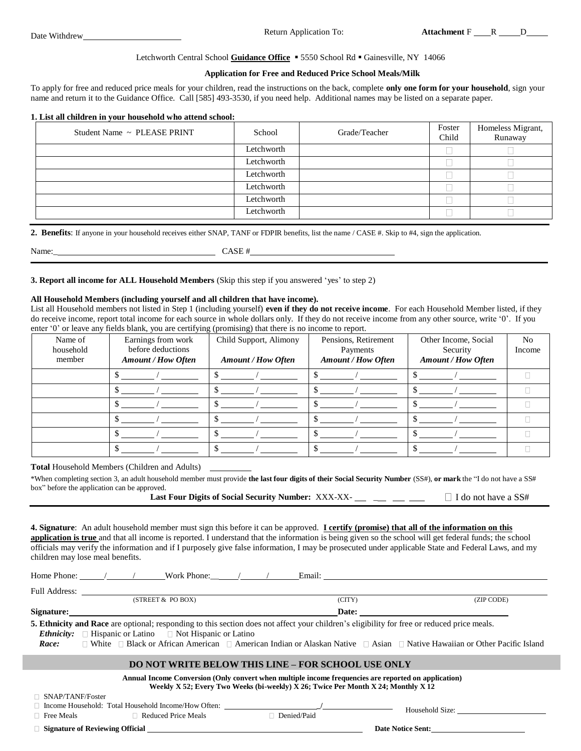### Letchworth Central School Guidance Office **5550 School Rd · Gainesville, NY 14066**

### **Application for Free and Reduced Price School Meals/Milk**

To apply for free and reduced price meals for your children, read the instructions on the back, complete **only one form for your household**, sign your name and return it to the Guidance Office*.* Call [585] 493-3530*,* if you need help. Additional names may be listed on a separate paper.

#### **1. List all children in your household who attend school:**

| Student Name ~ PLEASE PRINT | School     | Grade/Teacher | Foster<br>Child | Homeless Migrant,<br>Runaway |
|-----------------------------|------------|---------------|-----------------|------------------------------|
|                             | Letchworth |               |                 |                              |
|                             | Letchworth |               |                 |                              |
|                             | Letchworth |               |                 |                              |
|                             | Letchworth |               |                 |                              |
|                             | Letchworth |               |                 |                              |
|                             | Letchworth |               |                 |                              |

**2. Benefits**: If anyone in your household receives either SNAP, TANF or FDPIR benefits, list the name / CASE #. Skip to #4, sign the application.

Name: CASE #

**3. Report all income for ALL Household Members** (Skip this step if you answered 'yes' to step 2)

#### **All Household Members (including yourself and all children that have income).**

List all Household members not listed in Step 1 (including yourself) **even if they do not receive income**. For each Household Member listed, if they do receive income, report total income for each source in whole dollars only. If they do not receive income from any other source, write '0'. If you enter '0' or leave any fields blank, you are certifying (promising) that there is no income to report.

| Name of<br>household<br>member | Earnings from work<br>before deductions<br><b>Amount / How Often</b> | Child Support, Alimony<br><b>Amount / How Often</b> | Pensions, Retirement<br>Payments<br><b>Amount / How Often</b> | Other Income, Social<br>Security<br><b>Amount / How Often</b> | N <sub>0</sub><br>Income |
|--------------------------------|----------------------------------------------------------------------|-----------------------------------------------------|---------------------------------------------------------------|---------------------------------------------------------------|--------------------------|
|                                |                                                                      |                                                     |                                                               |                                                               |                          |
|                                |                                                                      |                                                     |                                                               |                                                               |                          |
|                                |                                                                      |                                                     |                                                               |                                                               |                          |
|                                |                                                                      |                                                     |                                                               |                                                               |                          |
|                                |                                                                      |                                                     |                                                               |                                                               |                          |
|                                |                                                                      |                                                     |                                                               |                                                               |                          |

**Total** Household Members (Children and Adults)

\*When completing section 3, an adult household member must provide the last four digits of their Social Security Number (SS#), or mark the "I do not have a SS# box" before the application can be approved.

| Last Four Digits of Social Security Number: XXX-XX- |  | $\Box$ I do not have a SS# |
|-----------------------------------------------------|--|----------------------------|
|-----------------------------------------------------|--|----------------------------|

**4. Signature**: An adult household member must sign this before it can be approved. **I certify (promise) that all of the information on this application is true** and that all income is reported. I understand that the information is being given so the school will get federal funds; the school officials may verify the information and if I purposely give false information, I may be prosecuted under applicable State and Federal Laws, and my children may lose meal benefits.

|                                                                                                                                                                                                                                                                                                                                                                                         | Home Phone: / / Work Phone: / / | Email: The contract of the contract of the contract of the contract of the contract of the contract of the contract of the contract of the contract of the contract of the contract of the contract of the contract of the con |            |  |  |  |
|-----------------------------------------------------------------------------------------------------------------------------------------------------------------------------------------------------------------------------------------------------------------------------------------------------------------------------------------------------------------------------------------|---------------------------------|--------------------------------------------------------------------------------------------------------------------------------------------------------------------------------------------------------------------------------|------------|--|--|--|
| <b>Full Address:</b>                                                                                                                                                                                                                                                                                                                                                                    |                                 |                                                                                                                                                                                                                                |            |  |  |  |
|                                                                                                                                                                                                                                                                                                                                                                                         | (STREET & PO BOX)               | (CITY)                                                                                                                                                                                                                         | (ZIP CODE) |  |  |  |
|                                                                                                                                                                                                                                                                                                                                                                                         | Signature:                      | Date:                                                                                                                                                                                                                          |            |  |  |  |
| 5. Ethnicity and Race are optional; responding to this section does not affect your children's eligibility for free or reduced price meals.<br><i>Ethnicity:</i> $\Box$ Hispanic or Latino $\Box$ Not Hispanic or Latino<br>$\Box$ White $\Box$ Black or African American $\Box$ American Indian or Alaskan Native $\Box$ Asian $\Box$ Native Hawaiian or Other Pacific Island<br>Race: |                                 |                                                                                                                                                                                                                                |            |  |  |  |
| <b>DO NOT WRITE BELOW THIS LINE – FOR SCHOOL USE ONLY</b>                                                                                                                                                                                                                                                                                                                               |                                 |                                                                                                                                                                                                                                |            |  |  |  |
| Annual Income Conversion (Only convert when multiple income frequencies are reported on application)                                                                                                                                                                                                                                                                                    |                                 |                                                                                                                                                                                                                                |            |  |  |  |

# **Weekly X 52; Every Two Weeks (bi-weekly) X 26; Twice Per Month X 24; Monthly X 12**

□ SNAP/TANF/Foster

Income Household: Total Household Income/How Often: **\_/**

Free Meals  $\Box$  Reduced Price Meals  $\Box$  Denied/Paid

Household Size:

**Signature of Reviewing Official Date Notice Sent:**